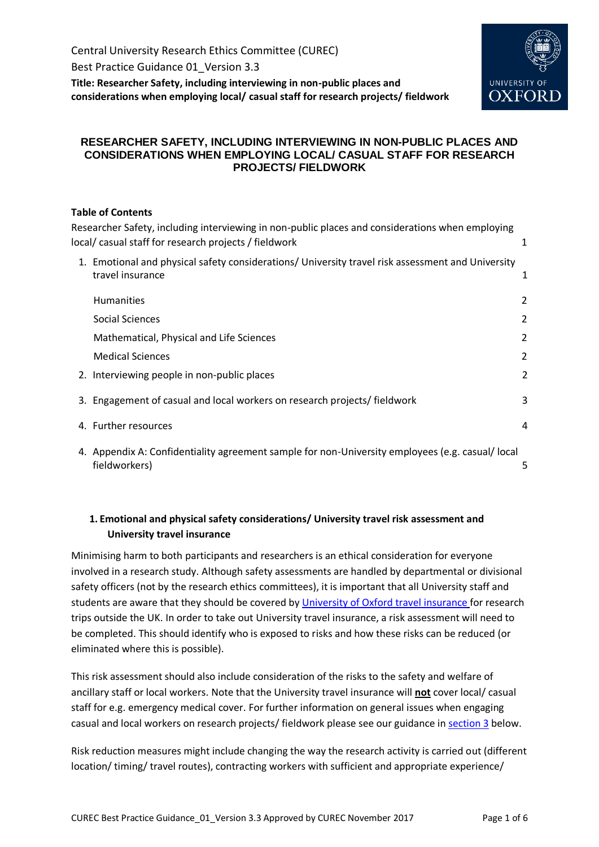Best Practice Guidance 01\_Version 3.3

<span id="page-0-0"></span>**Title: Researcher Safety, including interviewing in non-public places and considerations when employing local/ casual staff for research projects/ fieldwork**



## **RESEARCHER SAFETY, INCLUDING INTERVIEWING IN NON-PUBLIC PLACES AND CONSIDERATIONS WHEN EMPLOYING LOCAL/ CASUAL STAFF FOR RESEARCH PROJECTS/ FIELDWORK**

## **Table of Contents**

| Researcher Safety, including interviewing in non-public places and considerations when employing<br>local/casual staff for research projects / fieldwork | 1 |
|----------------------------------------------------------------------------------------------------------------------------------------------------------|---|
| 1. Emotional and physical safety considerations/ University travel risk assessment and University<br>travel insurance                                    | 1 |
| <b>Humanities</b>                                                                                                                                        | 2 |
| <b>Social Sciences</b>                                                                                                                                   | 2 |
| Mathematical, Physical and Life Sciences                                                                                                                 | 2 |
| <b>Medical Sciences</b>                                                                                                                                  | 2 |
| 2. Interviewing people in non-public places                                                                                                              | 2 |
| 3. Engagement of casual and local workers on research projects/ fieldwork                                                                                | 3 |
| 4. Further resources                                                                                                                                     | 4 |
| 4. Appendix A: Confidentiality agreement sample for non-University employees (e.g. casual/ local<br>fieldworkers)                                        | 5 |

# <span id="page-0-1"></span>**1. Emotional and physical safety considerations/ University travel risk assessment and University travel insurance**

Minimising harm to both participants and researchers is an ethical consideration for everyone involved in a research study. Although safety assessments are handled by departmental or divisional safety officers (not by the research ethics committees), it is important that all University staff and students are aware that they should be covered by University of Oxford [travel insurance](http://www.admin.ox.ac.uk/finance/insurance/travel/) for research trips outside the UK. In order to take out University travel insurance, a risk assessment will need to be completed. This should identify who is exposed to risks and how these risks can be reduced (or eliminated where this is possible).

This risk assessment should also include consideration of the risks to the safety and welfare of ancillary staff or local workers. Note that the University travel insurance will **not** cover local/ casual staff for e.g. emergency medical cover. For further information on general issues when engaging casual and local workers on research projects/ fieldwork please see our guidance i[n section 3](#page-2-0) below.

Risk reduction measures might include changing the way the research activity is carried out (different location/ timing/ travel routes), contracting workers with sufficient and appropriate experience/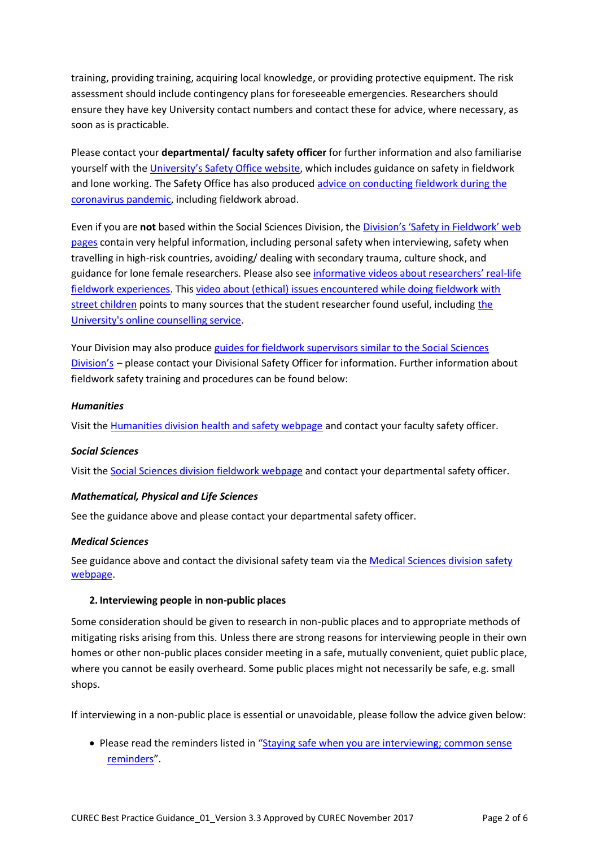training, providing training, acquiring local knowledge, or providing protective equipment. The risk assessment should include contingency plans for foreseeable emergencies. Researchers should ensure they have key University contact numbers and contact these for advice, where necessary, as soon as is practicable.

Please contact your **departmental/ faculty safety officer** for further information and also familiarise yourself with the University's [Safety Office website,](http://www.admin.ox.ac.uk/safety/policy-statements/s5-07/) which includes guidance on safety in fieldwork and lone working. The Safety Office has also produced [advice on conducting fieldwork during the](https://safety.admin.ox.ac.uk/coronavirus#collapse1916536)  [coronavirus pandemic,](https://safety.admin.ox.ac.uk/coronavirus#collapse1916536) including fieldwork abroad.

Even if you are **not** based within the Social Sciences Division, the [Division's 'Safety in Fieldwork' web](https://socsci.web.ox.ac.uk/research-fieldwork)  [pages](https://socsci.web.ox.ac.uk/research-fieldwork) contain very helpful information, including personal safety when interviewing, safety when travelling in high-risk countries, avoiding/ dealing with secondary trauma, culture shock, and guidance for lone female researchers. Please also see informative [videos about researchers' real](https://socsci.web.ox.ac.uk/fieldworker-experiences)-life [fieldwork experiences.](https://socsci.web.ox.ac.uk/fieldworker-experiences) This video about (ethical) [issues encountered while doing fieldwork with](https://socsci.web.ox.ac.uk/taster-video-street-associated-youth-in-jakarta-indonesia)  [street children](https://socsci.web.ox.ac.uk/taster-video-street-associated-youth-in-jakarta-indonesia) points to many sources that the student researcher found useful, including [the](https://www.ox.ac.uk/students/welfare/counselling/individual?wssl=1)  [University's online counselling service.](https://www.ox.ac.uk/students/welfare/counselling/individual?wssl=1)

Your Division may also produce guides [for fieldwork supervisors similar to the Social Sciences](https://socsci.web.ox.ac.uk/files/summaryoffieldworkresponsibilities-supervisorspdf)  [Division's](https://socsci.web.ox.ac.uk/files/summaryoffieldworkresponsibilities-supervisorspdf) – please contact your Divisional Safety Officer for information. Further information about fieldwork safety training and procedures can be found below:

### <span id="page-1-0"></span>*Humanities*

Visit the [Humanities division health and safety webpage](http://www.humanities.ox.ac.uk/health-and-safety#collapse1-3) and contact your faculty safety officer.

#### <span id="page-1-1"></span>*Social Sciences*

Visit the [Social Sciences division fieldwork webpage](https://socsci.web.ox.ac.uk/research-fieldwork) and contact your departmental safety officer.

#### <span id="page-1-2"></span>*Mathematical, Physical and Life Sciences*

See the guidance above and please contact your departmental safety officer.

#### <span id="page-1-3"></span>*Medical Sciences*

See guidance above and contact the divisional safety team via the Medical Sciences division safety [webpage.](https://www.medsci.ox.ac.uk/support-services/teams/safety)

#### <span id="page-1-4"></span>**2. Interviewing people in non-public places**

Some consideration should be given to research in non-public places and to appropriate methods of mitigating risks arising from this. Unless there are strong reasons for interviewing people in their own homes or other non-public places consider meeting in a safe, mutually convenient, quiet public place, where you cannot be easily overheard. Some public places might not necessarily be safe, e.g. small shops.

If interviewing in a non-public place is essential or unavoidable, please follow the advice given below:

• Please read the reminders listed in "Staying safe when you are interviewing; common sense [reminders](https://socsci.web.ox.ac.uk/files/safeinterviewingremindersjan19pdf)".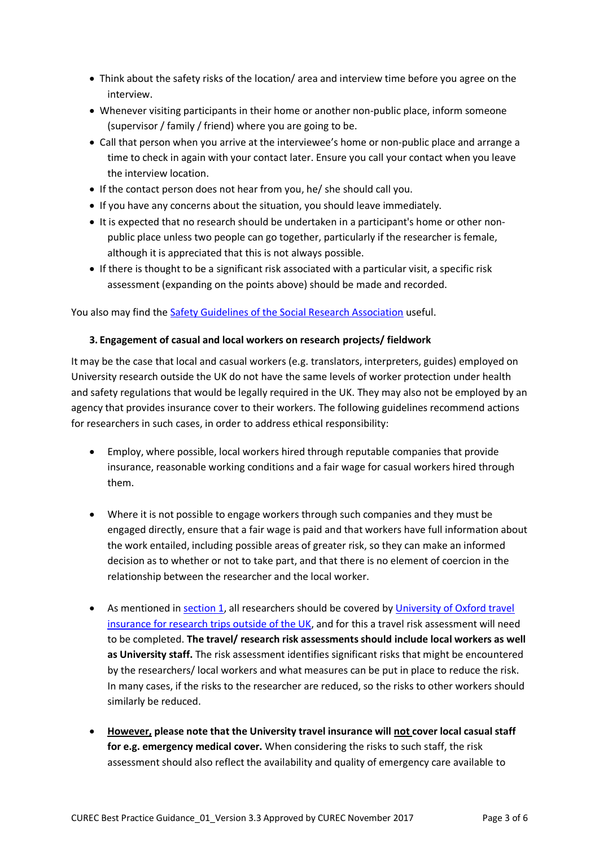- Think about the safety risks of the location/ area and interview time before you agree on the interview.
- Whenever visiting participants in their home or another non-public place, inform someone (supervisor / family / friend) where you are going to be.
- Call that person when you arrive at the interviewee's home or non-public place and arrange a time to check in again with your contact later. Ensure you call your contact when you leave the interview location.
- If the contact person does not hear from you, he/ she should call you.
- If you have any concerns about the situation, you should leave immediately.
- It is expected that no research should be undertaken in a participant's home or other nonpublic place unless two people can go together, particularly if the researcher is female, although it is appreciated that this is not always possible.
- If there is thought to be a significant risk associated with a particular visit, a specific risk assessment (expanding on the points above) should be made and recorded.

You also may find the [Safety Guidelines of the Social Research Association](https://the-sra.org.uk/common/Uploaded%20files/SRA-safety-code-of-practice.pdf) useful.

## <span id="page-2-0"></span>**3. Engagement of casual and local workers on research projects/ fieldwork**

It may be the case that local and casual workers (e.g. translators, interpreters, guides) employed on University research outside the UK do not have the same levels of worker protection under health and safety regulations that would be legally required in the UK. They may also not be employed by an agency that provides insurance cover to their workers. The following guidelines recommend actions for researchers in such cases, in order to address ethical responsibility:

- Employ, where possible, local workers hired through reputable companies that provide insurance, reasonable working conditions and a fair wage for casual workers hired through them.
- Where it is not possible to engage workers through such companies and they must be engaged directly, ensure that a fair wage is paid and that workers have full information about the work entailed, including possible areas of greater risk, so they can make an informed decision as to whether or not to take part, and that there is no element of coercion in the relationship between the researcher and the local worker.
- As mentioned i[n section 1,](#page-0-1) all researchers should be covered by University of Oxford travel insurance [for research trips outside of the UK,](http://www.admin.ox.ac.uk/finance/insurance/travel/) and for this a travel risk assessment will need to be completed. **The travel/ research risk assessments should include local workers as well as University staff.** The risk assessment identifies significant risks that might be encountered by the researchers/ local workers and what measures can be put in place to reduce the risk. In many cases, if the risks to the researcher are reduced, so the risks to other workers should similarly be reduced.
- **However, please note that the University travel insurance will not cover local casual staff for e.g. emergency medical cover.** When considering the risks to such staff, the risk assessment should also reflect the availability and quality of emergency care available to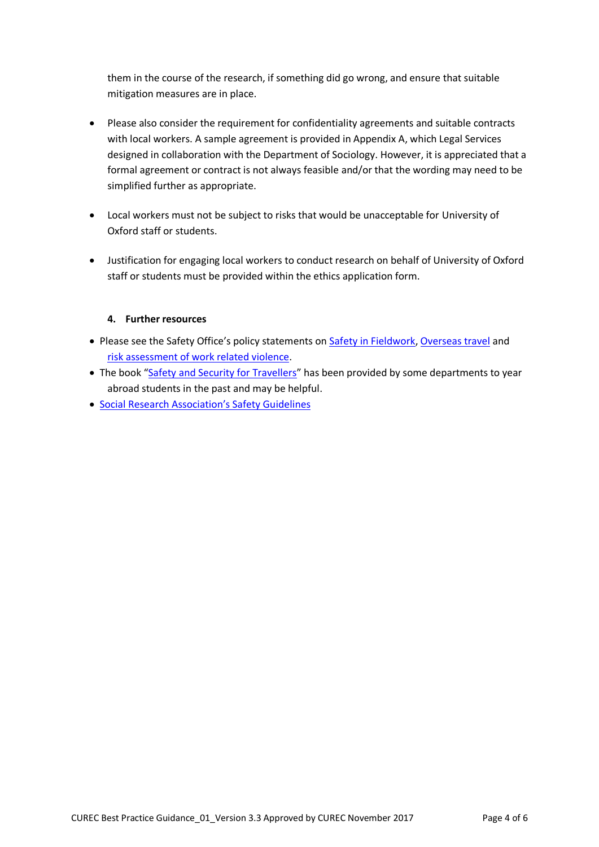them in the course of the research, if something did go wrong, and ensure that suitable mitigation measures are in place.

- Please also consider the requirement for confidentiality agreements and suitable contracts with local workers. A sample agreement is provided in Appendix A, which Legal Services designed in collaboration with the Department of Sociology. However, it is appreciated that a formal agreement or contract is not always feasible and/or that the wording may need to be simplified further as appropriate.
- Local workers must not be subject to risks that would be unacceptable for University of Oxford staff or students.
- Justification for engaging local workers to conduct research on behalf of University of Oxford staff or students must be provided within the ethics application form.

## **4. Further resources**

- <span id="page-3-0"></span>• Please see the Safety Office's policy statements on [Safety in Fieldwork,](https://safety.admin.ox.ac.uk/fieldwork) [Overseas travel](https://safety.admin.ox.ac.uk/overseas-travel) and [risk assessment of work related violence.](https://safety.admin.ox.ac.uk/violence)
- The book "[Safety and Security for Travellers](http://www.fieldcraft.co.uk/pocketbook.html)" has been provided by some departments to year abroad students in the past and may be helpful.
- [Social Research Association's Safety Gu](https://the-sra.org.uk/common/Uploaded%20files/SRA-safety-code-of-practice.pdf)idelines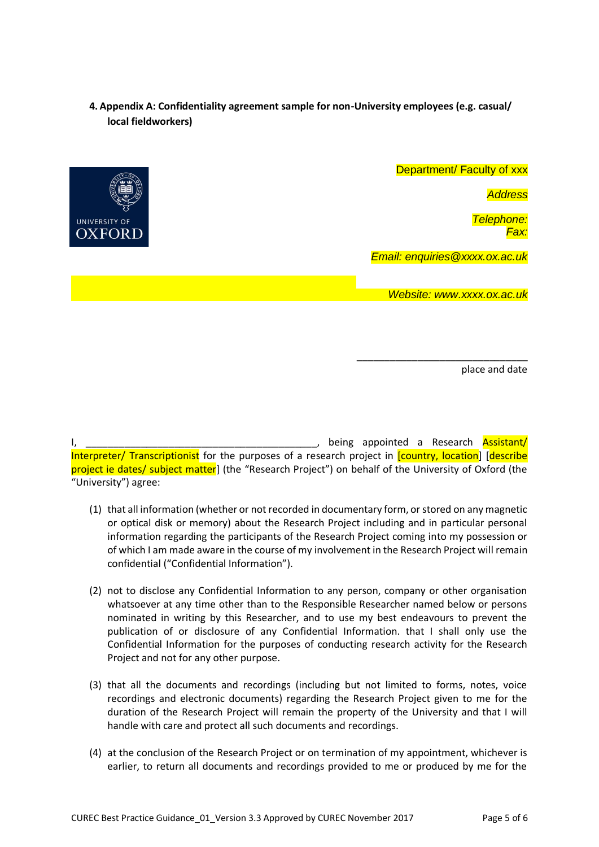# <span id="page-4-0"></span>**4. Appendix A: Confidentiality agreement sample for non-University employees (e.g. casual/ local fieldworkers)**



place and date

\_\_\_\_\_\_\_\_\_\_\_\_\_\_\_\_\_\_\_\_\_\_\_\_\_\_\_\_\_\_\_

**I, being appointed a Research Assistant/** Interpreter/ Transcriptionist for the purposes of a research project in [country, location] [describe project ie dates/ subject matter] (the "Research Project") on behalf of the University of Oxford (the "University") agree:

- (1) that all information (whether or not recorded in documentary form, or stored on any magnetic or optical disk or memory) about the Research Project including and in particular personal information regarding the participants of the Research Project coming into my possession or of which I am made aware in the course of my involvement in the Research Project will remain confidential ("Confidential Information").
- (2) not to disclose any Confidential Information to any person, company or other organisation whatsoever at any time other than to the Responsible Researcher named below or persons nominated in writing by this Researcher, and to use my best endeavours to prevent the publication of or disclosure of any Confidential Information. that I shall only use the Confidential Information for the purposes of conducting research activity for the Research Project and not for any other purpose.
- (3) that all the documents and recordings (including but not limited to forms, notes, voice recordings and electronic documents) regarding the Research Project given to me for the duration of the Research Project will remain the property of the University and that I will handle with care and protect all such documents and recordings.
- (4) at the conclusion of the Research Project or on termination of my appointment, whichever is earlier, to return all documents and recordings provided to me or produced by me for the